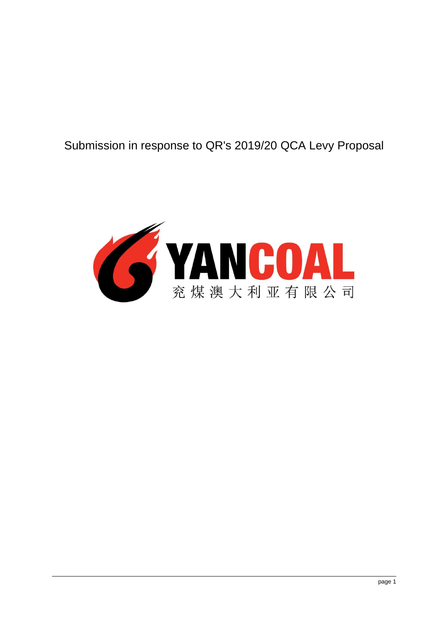# Submission in response to QR's 2019/20 QCA Levy Proposal

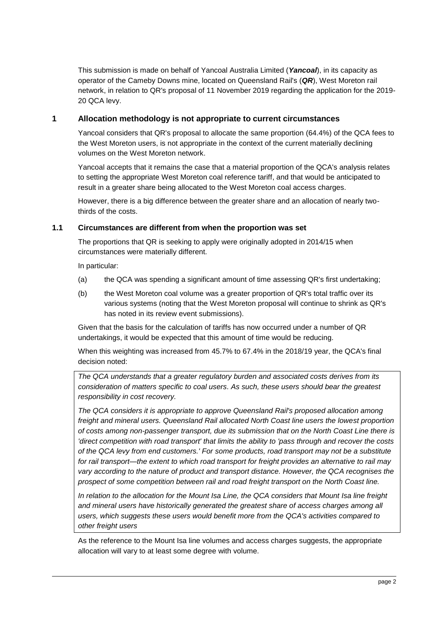This submission is made on behalf of Yancoal Australia Limited (*Yancoal*), in its capacity as operator of the Cameby Downs mine, located on Queensland Rail's (*QR*), West Moreton rail network, in relation to QR's proposal of 11 November 2019 regarding the application for the 2019- 20 QCA levy.

# **1 Allocation methodology is not appropriate to current circumstances**

Yancoal considers that QR's proposal to allocate the same proportion (64.4%) of the QCA fees to the West Moreton users, is not appropriate in the context of the current materially declining volumes on the West Moreton network.

Yancoal accepts that it remains the case that a material proportion of the QCA's analysis relates to setting the appropriate West Moreton coal reference tariff, and that would be anticipated to result in a greater share being allocated to the West Moreton coal access charges.

However, there is a big difference between the greater share and an allocation of nearly twothirds of the costs.

## **1.1 Circumstances are different from when the proportion was set**

The proportions that QR is seeking to apply were originally adopted in 2014/15 when circumstances were materially different.

In particular:

- (a) the QCA was spending a significant amount of time assessing QR's first undertaking;
- (b) the West Moreton coal volume was a greater proportion of QR's total traffic over its various systems (noting that the West Moreton proposal will continue to shrink as QR's has noted in its review event submissions).

Given that the basis for the calculation of tariffs has now occurred under a number of QR undertakings, it would be expected that this amount of time would be reducing.

When this weighting was increased from 45.7% to 67.4% in the 2018/19 year, the QCA's final decision noted:

*The QCA understands that a greater regulatory burden and associated costs derives from its consideration of matters specific to coal users. As such, these users should bear the greatest responsibility in cost recovery.*

*The QCA considers it is appropriate to approve Queensland Rail's proposed allocation among freight and mineral users. Queensland Rail allocated North Coast line users the lowest proportion of costs among non-passenger transport, due its submission that on the North Coast Line there is 'direct competition with road transport' that limits the ability to 'pass through and recover the costs of the QCA levy from end customers.' For some products, road transport may not be a substitute for rail transport—the extent to which road transport for freight provides an alternative to rail may*  vary according to the nature of product and transport distance. However, the QCA recognises the *prospect of some competition between rail and road freight transport on the North Coast line.*

*In relation to the allocation for the Mount Isa Line, the QCA considers that Mount Isa line freight and mineral users have historically generated the greatest share of access charges among all users, which suggests these users would benefit more from the QCA's activities compared to other freight users*

As the reference to the Mount Isa line volumes and access charges suggests, the appropriate allocation will vary to at least some degree with volume.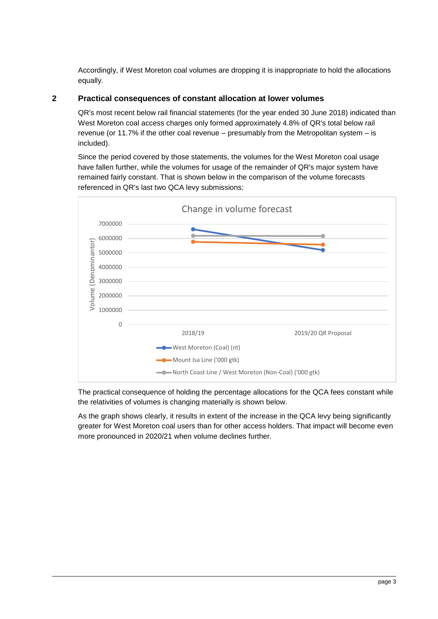Accordingly, if West Moreton coal volumes are dropping it is inappropriate to hold the allocations equally.

# **2 Practical consequences of constant allocation at lower volumes**

QR's most recent below rail financial statements (for the year ended 30 June 2018) indicated than West Moreton coal access charges only formed approximately 4.8% of QR's total below rail revenue (or 11.7% if the other coal revenue – presumably from the Metropolitan system – is included).

Since the period covered by those statements, the volumes for the West Moreton coal usage have fallen further, while the volumes for usage of the remainder of QR's major system have remained fairly constant. That is shown below in the comparison of the volume forecasts referenced in QR's last two QCA levy submissions:



The practical consequence of holding the percentage allocations for the QCA fees constant while the relativities of volumes is changing materially is shown below.

As the graph shows clearly, it results in extent of the increase in the QCA levy being significantly greater for West Moreton coal users than for other access holders. That impact will become even more pronounced in 2020/21 when volume declines further.